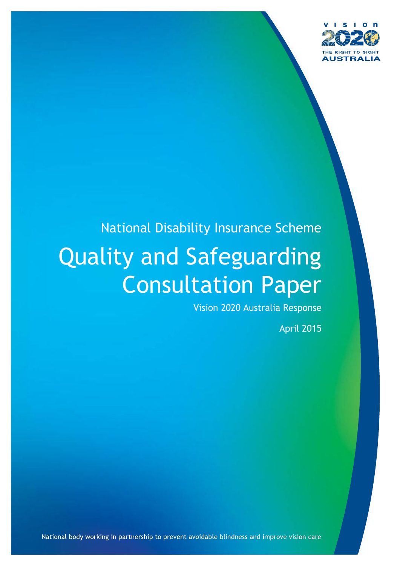

# National Disability Insurance Scheme Quality and Safeguarding Consultation Paper

Vision 2020 Australia Response

April 2015

National body working in partnership to prevent avoidable blindness and improve vision care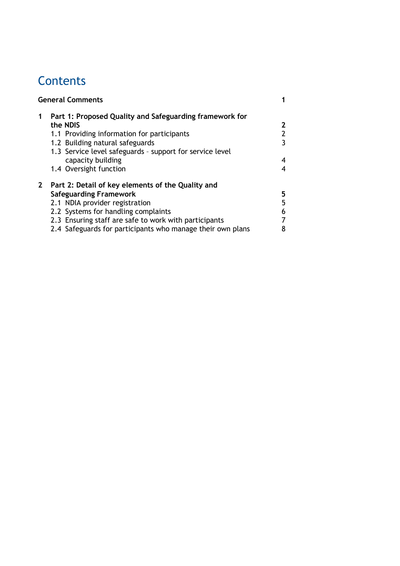# **Contents**

| Part 1: Proposed Quality and Safeguarding framework for    |
|------------------------------------------------------------|
| 2                                                          |
| 2                                                          |
| 3                                                          |
|                                                            |
| 4                                                          |
|                                                            |
|                                                            |
| 5                                                          |
| 5                                                          |
| 6                                                          |
|                                                            |
| 2.4 Safeguards for participants who manage their own plans |
|                                                            |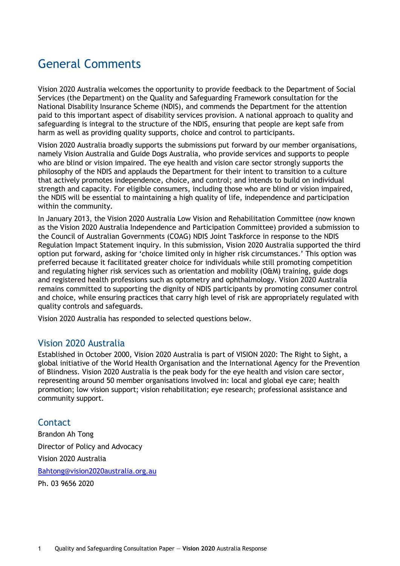# General Comments

Vision 2020 Australia welcomes the opportunity to provide feedback to the Department of Social Services (the Department) on the Quality and Safeguarding Framework consultation for the National Disability Insurance Scheme (NDIS), and commends the Department for the attention paid to this important aspect of disability services provision. A national approach to quality and safeguarding is integral to the structure of the NDIS, ensuring that people are kept safe from harm as well as providing quality supports, choice and control to participants.

Vision 2020 Australia broadly supports the submissions put forward by our member organisations, namely Vision Australia and Guide Dogs Australia, who provide services and supports to people who are blind or vision impaired. The eye health and vision care sector strongly supports the philosophy of the NDIS and applauds the Department for their intent to transition to a culture that actively promotes independence, choice, and control; and intends to build on individual strength and capacity. For eligible consumers, including those who are blind or vision impaired, the NDIS will be essential to maintaining a high quality of life, independence and participation within the community.

In January 2013, the Vision 2020 Australia Low Vision and Rehabilitation Committee (now known as the Vision 2020 Australia Independence and Participation Committee) provided a submission to the Council of Australian Governments (COAG) NDIS Joint Taskforce in response to the NDIS Regulation Impact Statement inquiry. In this submission, Vision 2020 Australia supported the third option put forward, asking for 'choice limited only in higher risk circumstances.' This option was preferred because it facilitated greater choice for individuals while still promoting competition and regulating higher risk services such as orientation and mobility (O&M) training, guide dogs and registered health professions such as optometry and ophthalmology. Vision 2020 Australia remains committed to supporting the dignity of NDIS participants by promoting consumer control and choice, while ensuring practices that carry high level of risk are appropriately regulated with quality controls and safeguards.

Vision 2020 Australia has responded to selected questions below.

### Vision 2020 Australia

Established in October 2000, Vision 2020 Australia is part of VISION 2020: The Right to Sight, a global initiative of the World Health Organisation and the International Agency for the Prevention of Blindness. Vision 2020 Australia is the peak body for the eye health and vision care sector, representing around 50 member organisations involved in: local and global eye care; health promotion; low vision support; vision rehabilitation; eye research; professional assistance and community support.

# **Contact**

Brandon Ah Tong Director of Policy and Advocacy Vision 2020 Australia [Bahtong@vision2020australia.org.au](mailto:Bahtong@vision2020australia.org.au) Ph. 03 9656 2020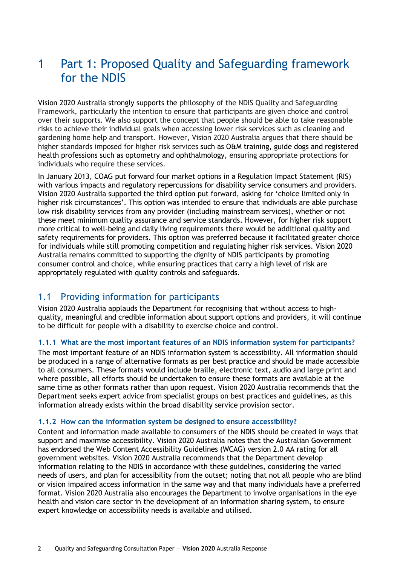# 1 Part 1: Proposed Quality and Safeguarding framework for the NDIS

Vision 2020 Australia strongly supports the philosophy of the NDIS Quality and Safeguarding Framework, particularly the intention to ensure that participants are given choice and control over their supports. We also support the concept that people should be able to take reasonable risks to achieve their individual goals when accessing lower risk services such as cleaning and gardening home help and transport. However, Vision 2020 Australia argues that there should be higher standards imposed for higher risk services such as O&M training, guide dogs and registered health professions such as optometry and ophthalmology, ensuring appropriate protections for individuals who require these services.

In January 2013, COAG put forward four market options in a Regulation Impact Statement (RIS) with various impacts and regulatory repercussions for disability service consumers and providers. Vision 2020 Australia supported the third option put forward, asking for 'choice limited only in higher risk circumstances'. This option was intended to ensure that individuals are able purchase low risk disability services from any provider (including mainstream services), whether or not these meet minimum quality assurance and service standards. However, for higher risk support more critical to well-being and daily living requirements there would be additional quality and safety requirements for providers. This option was preferred because it facilitated greater choice for individuals while still promoting competition and regulating higher risk services. Vision 2020 Australia remains committed to supporting the dignity of NDIS participants by promoting consumer control and choice, while ensuring practices that carry a high level of risk are appropriately regulated with quality controls and safeguards.

### 1.1 Providing information for participants

Vision 2020 Australia applauds the Department for recognising that without access to highquality, meaningful and credible information about support options and providers, it will continue to be difficult for people with a disability to exercise choice and control.

### **1.1.1 What are the most important features of an NDIS information system for participants?**

The most important feature of an NDIS information system is accessibility. All information should be produced in a range of alternative formats as per best practice and should be made accessible to all consumers. These formats would include braille, electronic text, audio and large print and where possible, all efforts should be undertaken to ensure these formats are available at the same time as other formats rather than upon request. Vision 2020 Australia recommends that the Department seeks expert advice from specialist groups on best practices and guidelines, as this information already exists within the broad disability service provision sector.

#### **1.1.2 How can the information system be designed to ensure accessibility?**

Content and information made available to consumers of the NDIS should be created in ways that support and maximise accessibility. Vision 2020 Australia notes that the Australian Government has endorsed the Web Content Accessibility Guidelines (WCAG) version 2.0 AA rating for all government websites. Vision 2020 Australia recommends that the Department develop information relating to the NDIS in accordance with these guidelines, considering the varied needs of users, and plan for accessibility from the outset; noting that not all people who are blind or vision impaired access information in the same way and that many individuals have a preferred format. Vision 2020 Australia also encourages the Department to involve organisations in the eye health and vision care sector in the development of an information sharing system, to ensure expert knowledge on accessibility needs is available and utilised.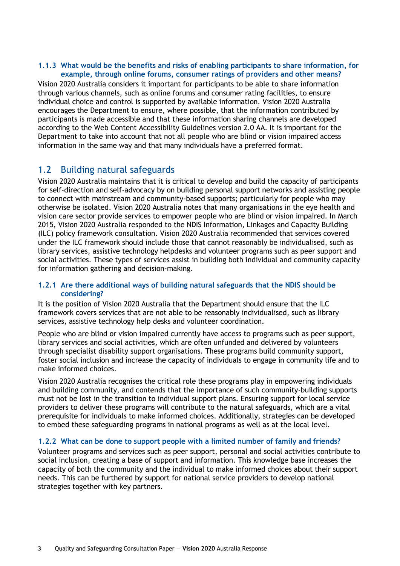### **1.1.3 What would be the benefits and risks of enabling participants to share information, for example, through online forums, consumer ratings of providers and other means?**

Vision 2020 Australia considers it important for participants to be able to share information through various channels, such as online forums and consumer rating facilities, to ensure individual choice and control is supported by available information. Vision 2020 Australia encourages the Department to ensure, where possible, that the information contributed by participants is made accessible and that these information sharing channels are developed according to the Web Content Accessibility Guidelines version 2.0 AA. It is important for the Department to take into account that not all people who are blind or vision impaired access information in the same way and that many individuals have a preferred format.

# 1.2 Building natural safeguards

Vision 2020 Australia maintains that it is critical to develop and build the capacity of participants for self-direction and self-advocacy by on building personal support networks and assisting people to connect with mainstream and community-based supports; particularly for people who may otherwise be isolated. Vision 2020 Australia notes that many organisations in the eye health and vision care sector provide services to empower people who are blind or vision impaired. In March 2015, Vision 2020 Australia responded to the NDIS Information, Linkages and Capacity Building (ILC) policy framework consultation. Vision 2020 Australia recommended that services covered under the ILC framework should include those that cannot reasonably be individualised, such as library services, assistive technology helpdesks and volunteer programs such as peer support and social activities. These types of services assist in building both individual and community capacity for information gathering and decision-making.

### **1.2.1 Are there additional ways of building natural safeguards that the NDIS should be considering?**

It is the position of Vision 2020 Australia that the Department should ensure that the ILC framework covers services that are not able to be reasonably individualised, such as library services, assistive technology help desks and volunteer coordination.

People who are blind or vision impaired currently have access to programs such as peer support, library services and social activities, which are often unfunded and delivered by volunteers through specialist disability support organisations. These programs build community support, foster social inclusion and increase the capacity of individuals to engage in community life and to make informed choices.

Vision 2020 Australia recognises the critical role these programs play in empowering individuals and building community, and contends that the importance of such community-building supports must not be lost in the transition to individual support plans. Ensuring support for local service providers to deliver these programs will contribute to the natural safeguards, which are a vital prerequisite for individuals to make informed choices. Additionally, strategies can be developed to embed these safeguarding programs in national programs as well as at the local level.

### **1.2.2 What can be done to support people with a limited number of family and friends?**

Volunteer programs and services such as peer support, personal and social activities contribute to social inclusion, creating a base of support and information. This knowledge base increases the capacity of both the community and the individual to make informed choices about their support needs. This can be furthered by support for national service providers to develop national strategies together with key partners.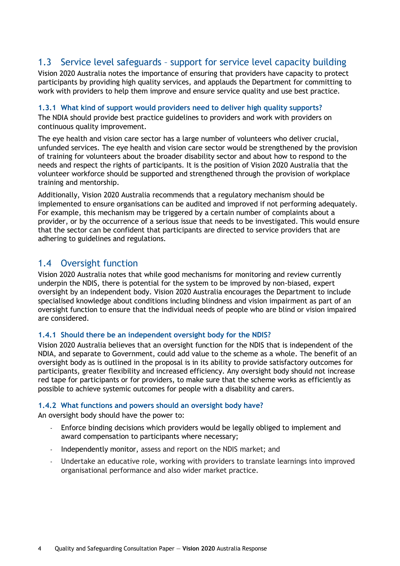# 1.3 Service level safeguards – support for service level capacity building

Vision 2020 Australia notes the importance of ensuring that providers have capacity to protect participants by providing high quality services, and applauds the Department for committing to work with providers to help them improve and ensure service quality and use best practice.

### **1.3.1 What kind of support would providers need to deliver high quality supports?**

The NDIA should provide best practice guidelines to providers and work with providers on continuous quality improvement.

The eye health and vision care sector has a large number of volunteers who deliver crucial, unfunded services. The eye health and vision care sector would be strengthened by the provision of training for volunteers about the broader disability sector and about how to respond to the needs and respect the rights of participants. It is the position of Vision 2020 Australia that the volunteer workforce should be supported and strengthened through the provision of workplace training and mentorship.

Additionally, Vision 2020 Australia recommends that a regulatory mechanism should be implemented to ensure organisations can be audited and improved if not performing adequately. For example, this mechanism may be triggered by a certain number of complaints about a provider, or by the occurrence of a serious issue that needs to be investigated. This would ensure that the sector can be confident that participants are directed to service providers that are adhering to guidelines and regulations.

# 1.4 Oversight function

Vision 2020 Australia notes that while good mechanisms for monitoring and review currently underpin the NDIS, there is potential for the system to be improved by non-biased, expert oversight by an independent body. Vision 2020 Australia encourages the Department to include specialised knowledge about conditions including blindness and vision impairment as part of an oversight function to ensure that the individual needs of people who are blind or vision impaired are considered.

### **1.4.1 Should there be an independent oversight body for the NDIS?**

Vision 2020 Australia believes that an oversight function for the NDIS that is independent of the NDIA, and separate to Government, could add value to the scheme as a whole. The benefit of an oversight body as is outlined in the proposal is in its ability to provide satisfactory outcomes for participants, greater flexibility and increased efficiency. Any oversight body should not increase red tape for participants or for providers, to make sure that the scheme works as efficiently as possible to achieve systemic outcomes for people with a disability and carers.

### **1.4.2 What functions and powers should an oversight body have?**

An oversight body should have the power to:

- Enforce binding decisions which providers would be legally obliged to implement and award compensation to participants where necessary;
- Independently monitor, assess and report on the NDIS market; and
- Undertake an educative role, working with providers to translate learnings into improved organisational performance and also wider market practice.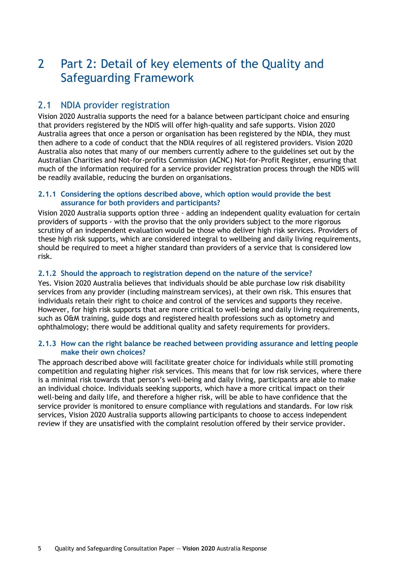# 2 Part 2: Detail of key elements of the Quality and Safeguarding Framework

### 2.1 NDIA provider registration

Vision 2020 Australia supports the need for a balance between participant choice and ensuring that providers registered by the NDIS will offer high-quality and safe supports. Vision 2020 Australia agrees that once a person or organisation has been registered by the NDIA, they must then adhere to a code of conduct that the NDIA requires of all registered providers. Vision 2020 Australia also notes that many of our members currently adhere to the guidelines set out by the Australian Charities and Not-for-profits Commission (ACNC) Not-for-Profit Register, ensuring that much of the information required for a service provider registration process through the NDIS will be readily available, reducing the burden on organisations.

### **2.1.1 Considering the options described above, which option would provide the best assurance for both providers and participants?**

Vision 2020 Australia supports option three - adding an independent quality evaluation for certain providers of supports - with the proviso that the only providers subject to the more rigorous scrutiny of an independent evaluation would be those who deliver high risk services. Providers of these high risk supports, which are considered integral to wellbeing and daily living requirements, should be required to meet a higher standard than providers of a service that is considered low risk.

### **2.1.2 Should the approach to registration depend on the nature of the service?**

Yes. Vision 2020 Australia believes that individuals should be able purchase low risk disability services from any provider (including mainstream services), at their own risk. This ensures that individuals retain their right to choice and control of the services and supports they receive. However, for high risk supports that are more critical to well-being and daily living requirements, such as O&M training, guide dogs and registered health professions such as optometry and ophthalmology; there would be additional quality and safety requirements for providers.

#### **2.1.3 How can the right balance be reached between providing assurance and letting people make their own choices?**

The approach described above will facilitate greater choice for individuals while still promoting competition and regulating higher risk services. This means that for low risk services, where there is a minimal risk towards that person's well-being and daily living, participants are able to make an individual choice. Individuals seeking supports, which have a more critical impact on their well-being and daily life, and therefore a higher risk, will be able to have confidence that the service provider is monitored to ensure compliance with regulations and standards. For low risk services, Vision 2020 Australia supports allowing participants to choose to access independent review if they are unsatisfied with the complaint resolution offered by their service provider.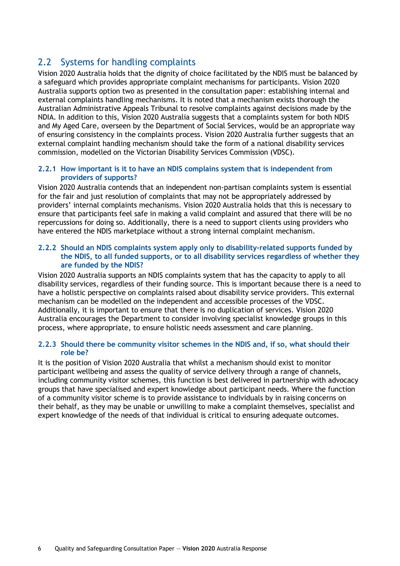# 2.2 Systems for handling complaints

Vision 2020 Australia holds that the dignity of choice facilitated by the NDIS must be balanced by a safeguard which provides appropriate complaint mechanisms for participants. Vision 2020 Australia supports option two as presented in the consultation paper: establishing internal and external complaints handling mechanisms. It is noted that a mechanism exists thorough the Australian Administrative Appeals Tribunal to resolve complaints against decisions made by the NDIA. In addition to this, Vision 2020 Australia suggests that a complaints system for both NDIS and My Aged Care, overseen by the Department of Social Services, would be an appropriate way of ensuring consistency in the complaints process. Vision 2020 Australia further suggests that an external complaint handling mechanism should take the form of a national disability services commission, modelled on the Victorian Disability Services Commission (VDSC).

### **2.2.1 How important is it to have an NDIS complains system that is independent from providers of supports?**

Vision 2020 Australia contends that an independent non-partisan complaints system is essential for the fair and just resolution of complaints that may not be appropriately addressed by providers' internal complaints mechanisms. Vision 2020 Australia holds that this is necessary to ensure that participants feel safe in making a valid complaint and assured that there will be no repercussions for doing so. Additionally, there is a need to support clients using providers who have entered the NDIS marketplace without a strong internal complaint mechanism.

### **2.2.2 Should an NDIS complaints system apply only to disability-related supports funded by the NDIS, to all funded supports, or to all disability services regardless of whether they are funded by the NDIS?**

Vision 2020 Australia supports an NDIS complaints system that has the capacity to apply to all disability services, regardless of their funding source. This is important because there is a need to have a holistic perspective on complaints raised about disability service providers. This external mechanism can be modelled on the independent and accessible processes of the VDSC. Additionally, it is important to ensure that there is no duplication of services. Vision 2020 Australia encourages the Department to consider involving specialist knowledge groups in this process, where appropriate, to ensure holistic needs assessment and care planning.

### **2.2.3 Should there be community visitor schemes in the NDIS and, if so, what should their role be?**

It is the position of Vision 2020 Australia that whilst a mechanism should exist to monitor participant wellbeing and assess the quality of service delivery through a range of channels, including community visitor schemes, this function is best delivered in partnership with advocacy groups that have specialised and expert knowledge about participant needs. Where the function of a community visitor scheme is to provide assistance to individuals by in raising concerns on their behalf, as they may be unable or unwilling to make a complaint themselves, specialist and expert knowledge of the needs of that individual is critical to ensuring adequate outcomes.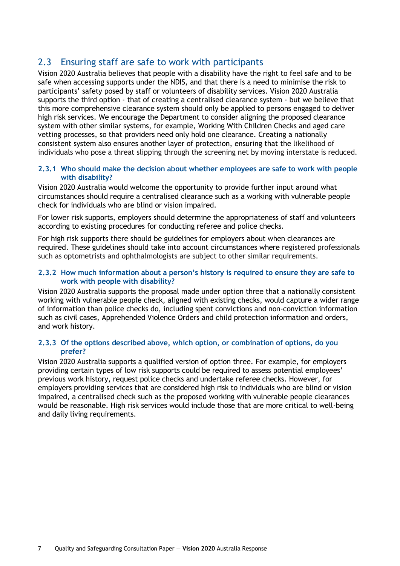# 2.3 Ensuring staff are safe to work with participants

Vision 2020 Australia believes that people with a disability have the right to feel safe and to be safe when accessing supports under the NDIS, and that there is a need to minimise the risk to participants' safety posed by staff or volunteers of disability services. Vision 2020 Australia supports the third option - that of creating a centralised clearance system - but we believe that this more comprehensive clearance system should only be applied to persons engaged to deliver high risk services. We encourage the Department to consider aligning the proposed clearance system with other similar systems, for example, Working With Children Checks and aged care vetting processes, so that providers need only hold one clearance. Creating a nationally consistent system also ensures another layer of protection, ensuring that the likelihood of individuals who pose a threat slipping through the screening net by moving interstate is reduced.

### **2.3.1 Who should make the decision about whether employees are safe to work with people with disability?**

Vision 2020 Australia would welcome the opportunity to provide further input around what circumstances should require a centralised clearance such as a working with vulnerable people check for individuals who are blind or vision impaired.

For lower risk supports, employers should determine the appropriateness of staff and volunteers according to existing procedures for conducting referee and police checks.

For high risk supports there should be guidelines for employers about when clearances are required. These guidelines should take into account circumstances where registered professionals such as optometrists and ophthalmologists are subject to other similar requirements.

### **2.3.2 How much information about a person's history is required to ensure they are safe to work with people with disability?**

Vision 2020 Australia supports the proposal made under option three that a nationally consistent working with vulnerable people check, aligned with existing checks, would capture a wider range of information than police checks do, including spent convictions and non-conviction information such as civil cases, Apprehended Violence Orders and child protection information and orders, and work history.

#### **2.3.3 Of the options described above, which option, or combination of options, do you prefer?**

Vision 2020 Australia supports a qualified version of option three. For example, for employers providing certain types of low risk supports could be required to assess potential employees' previous work history, request police checks and undertake referee checks. However, for employers providing services that are considered high risk to individuals who are blind or vision impaired, a centralised check such as the proposed working with vulnerable people clearances would be reasonable. High risk services would include those that are more critical to well-being and daily living requirements.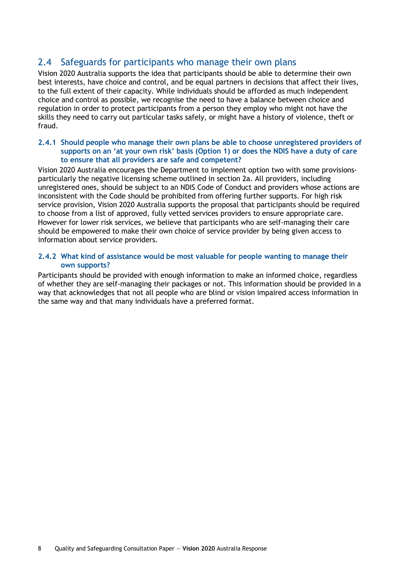# 2.4 Safeguards for participants who manage their own plans

Vision 2020 Australia supports the idea that participants should be able to determine their own best interests, have choice and control, and be equal partners in decisions that affect their lives, to the full extent of their capacity. While individuals should be afforded as much independent choice and control as possible, we recognise the need to have a balance between choice and regulation in order to protect participants from a person they employ who might not have the skills they need to carry out particular tasks safely, or might have a history of violence, theft or fraud.

### **2.4.1 Should people who manage their own plans be able to choose unregistered providers of supports on an 'at your own risk' basis (Option 1) or does the NDIS have a duty of care to ensure that all providers are safe and competent?**

Vision 2020 Australia encourages the Department to implement option two with some provisionsparticularly the negative licensing scheme outlined in section 2a. All providers, including unregistered ones, should be subject to an NDIS Code of Conduct and providers whose actions are inconsistent with the Code should be prohibited from offering further supports. For high risk service provision, Vision 2020 Australia supports the proposal that participants should be required to choose from a list of approved, fully vetted services providers to ensure appropriate care. However for lower risk services, we believe that participants who are self-managing their care should be empowered to make their own choice of service provider by being given access to information about service providers.

### **2.4.2 What kind of assistance would be most valuable for people wanting to manage their own supports?**

Participants should be provided with enough information to make an informed choice, regardless of whether they are self-managing their packages or not. This information should be provided in a way that acknowledges that not all people who are blind or vision impaired access information in the same way and that many individuals have a preferred format.